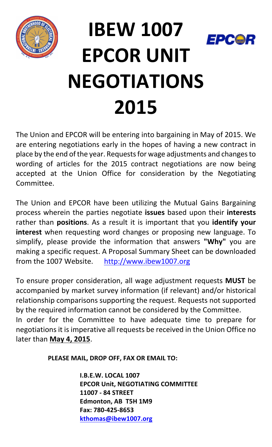

## **IBEW 1007** EPCO **EPCOR UNIT NEGOTIATIONS 2015**

The Union and EPCOR will be entering into bargaining in May of 2015. We are entering negotiations early in the hopes of having a new contract in place by the end of the year. Requests for wage adjustments and changes to wording of articles for the 2015 contract negotiations are now being accepted at the Union Office for consideration by the Negotiating Committee.

The Union and EPCOR have been utilizing the Mutual Gains Bargaining process wherein the parties negotiate *issues* based upon their *interests* rather than **positions**. As a result it is important that you *identify your* **interest** when requesting word changes or proposing new language. To simplify, please provide the information that answers "Why" you are making a specific request. A Proposal Summary Sheet can be downloaded from the 1007 Website. http://www.ibew1007.org

To ensure proper consideration, all wage adjustment requests MUST be accompanied by market survey information (if relevant) and/or historical relationship comparisons supporting the request. Requests not supported by the required information cannot be considered by the Committee. In order for the Committee to have adequate time to prepare for negotiations it is imperative all requests be received in the Union Office no

later than **May 4, 2015**.

**PLEASE MAIL, DROP OFF, FAX OR EMAIL TO:**

**I.B.E.W. LOCAL 1007 EPCOR Unit, NEGOTIATING COMMITTEE 11007 - 84 STREET Edmonton, AB T5H 1M9 Fax: 780-425-8653 kthomas@ibew1007.org**